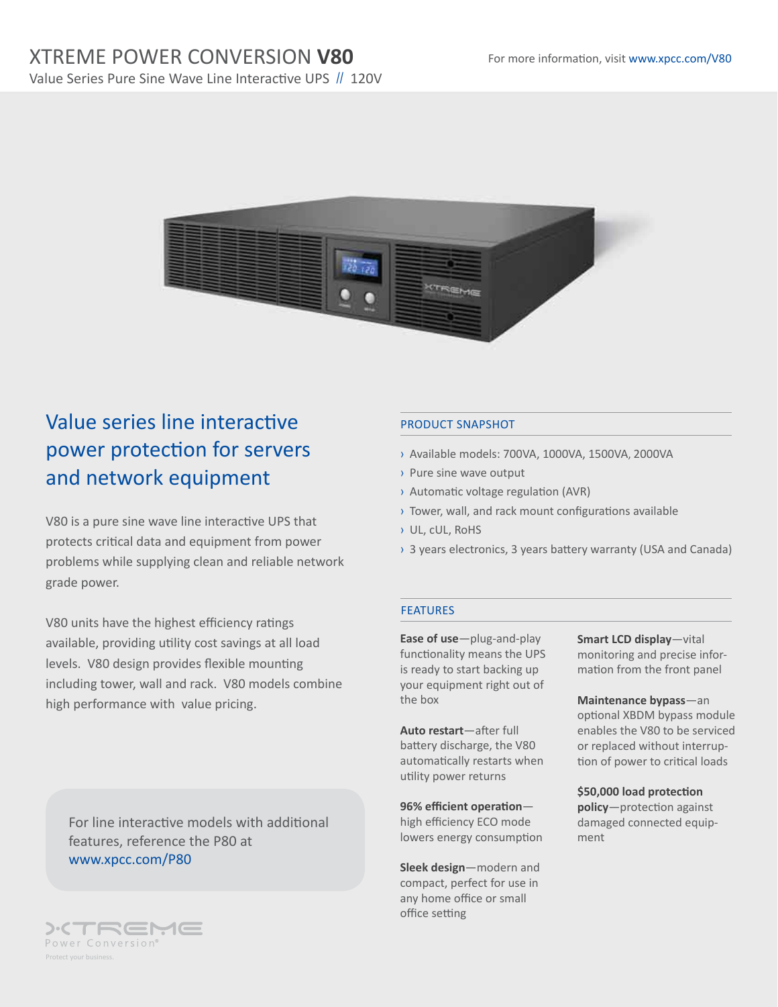# XTREME POWER CONVERSION **V80**

Value Series Pure Sine Wave Line Interactive UPS // 120V



# Value series line interactive power protection for servers and network equipment

V80 is a pure sine wave line interactive UPS that protects critical data and equipment from power problems while supplying clean and reliable network grade power.

V80 units have the highest efficiency ratings available, providing utility cost savings at all load levels. V80 design provides flexible mounting including tower, wall and rack. V80 models combine high performance with value pricing.

For line interactive models with additional features, reference the P80 at www.xpcc.com/P80

### ):CTREME Power Conversion®

### PRODUCT SNAPSHOT

- › Available models: 700VA, 1000VA, 1500VA, 2000VA
- › Pure sine wave output
- › Automatic voltage regulation (AVR)
- › Tower, wall, and rack mount configurations available
- › UL, cUL, RoHS
- › 3 years electronics, 3 years battery warranty (USA and Canada)

### FEATURES

**Ease of use**—plug-and-play functionality means the UPS is ready to start backing up your equipment right out of the box

**Auto restart**—after full battery discharge, the V80 automatically restarts when utility power returns

**96% efficient operation** high efficiency ECO mode lowers energy consumption

**Sleek design**—modern and compact, perfect for use in any home office or small office setting

**Smart LCD display**—vital monitoring and precise information from the front panel

**Maintenance bypass**—an optional XBDM bypass module enables the V80 to be serviced or replaced without interruption of power to critical loads

**\$50,000 load protection policy**—protection against damaged connected equipment